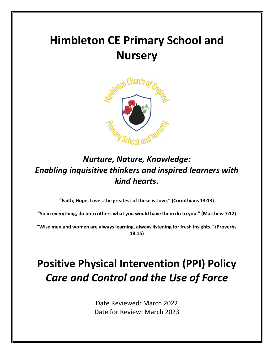# **Himbleton CE Primary School and Nursery**



# *Nurture, Nature, Knowledge: Enabling inquisitive thinkers and inspired learners with kind hearts.*

**"Faith, Hope, Love…the greatest of these is Love." (Corinthians 13:13)**

**"So in everything, do unto others what you would have them do to you." (Matthew 7:12)**

**"Wise men and women are always learning, always listening for fresh insights." (Proverbs 18:15)**

# **Positive Physical Intervention (PPI) Policy** *Care and Control and the Use of Force*

Date Reviewed: March 2022 Date for Review: March 2023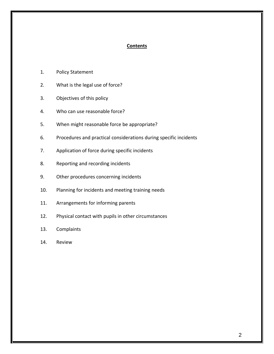#### **Contents**

- 1. Policy Statement
- 2. What is the legal use of force?
- 3. Objectives of this policy
- 4. Who can use reasonable force?
- 5. When might reasonable force be appropriate?
- 6. Procedures and practical considerations during specific incidents
- 7. Application of force during specific incidents
- 8. Reporting and recording incidents
- 9. Other procedures concerning incidents
- 10. Planning for incidents and meeting training needs
- 11. Arrangements for informing parents
- 12. Physical contact with pupils in other circumstances
- 13. Complaints
- 14. Review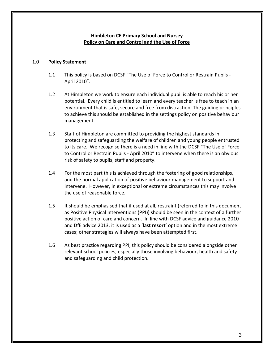#### **Himbleton CE Primary School and Nursey Policy on Care and Control and the Use of Force**

#### 1.0 **Policy Statement**

- 1.1 This policy is based on DCSF "The Use of Force to Control or Restrain Pupils April 2010".
- 1.2 At Himbleton we work to ensure each individual pupil is able to reach his or her potential. Every child is entitled to learn and every teacher is free to teach in an environment that is safe, secure and free from distraction. The guiding principles to achieve this should be established in the settings policy on positive behaviour management.
- 1.3 Staff of Himbleton are committed to providing the highest standards in protecting and safeguarding the welfare of children and young people entrusted to its care. We recognise there is a need in line with the DCSF "The Use of Force to Control or Restrain Pupils - April 2010" to intervene when there is an obvious risk of safety to pupils, staff and property.
- 1.4 For the most part this is achieved through the fostering of good relationships, and the normal application of positive behaviour management to support and intervene. However, in exceptional or extreme circumstances this may involve the use of reasonable force.
- 1.5 It should be emphasised that if used at all, restraint (referred to in this document as Positive Physical Interventions (PPI)) should be seen in the context of a further positive action of care and concern. In line with DCSF advice and guidance 2010 and DfE advice 2013, it is used as a '**last resort'** option and in the most extreme cases; other strategies will always have been attempted first.
- 1.6 As best practice regarding PPI, this policy should be considered alongside other relevant school policies, especially those involving behaviour, health and safety and safeguarding and child protection.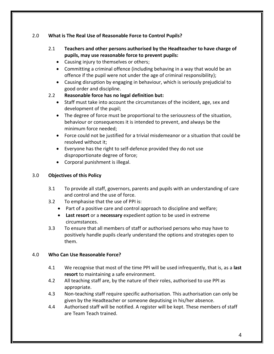#### 2.0 **What is The Real Use of Reasonable Force to Control Pupils?**

- 2.1 **Teachers and other persons authorised by the Headteacher to have charge of pupils, may use reasonable force to prevent pupils:**
	- Causing injury to themselves or others;
	- Committing a criminal offence (including behaving in a way that would be an offence if the pupil were not under the age of criminal responsibility);
	- Causing disruption by engaging in behaviour, which is seriously prejudicial to good order and discipline.

# 2.2 **Reasonable force has no legal definition but:**

- Staff must take into account the circumstances of the incident, age, sex and development of the pupil;
- The degree of force must be proportional to the seriousness of the situation, behaviour or consequences it is intended to prevent, and always be the minimum force needed;
- Force could not be justified for a trivial misdemeanor or a situation that could be resolved without it;
- Everyone has the right to self-defence provided they do not use disproportionate degree of force;
- Corporal punishment is illegal.

# 3.0 **Objectives of this Policy**

- 3.1 To provide all staff, governors, parents and pupils with an understanding of care and control and the use of force.
- 3.2 To emphasise that the use of PPI is:
	- Part of a positive care and control approach to discipline and welfare;
	- **Last resort** or a **necessary** expedient option to be used in extreme circumstances.
- 3.3 To ensure that all members of staff or authorised persons who may have to positively handle pupils clearly understand the options and strategies open to them.

#### 4.0 **Who Can Use Reasonable Force?**

- 4.1 We recognise that most of the time PPI will be used infrequently, that is, as a **last resort** to maintaining a safe environment.
- 4.2 All teaching staff are, by the nature of their roles, authorised to use PPI as appropriate.
- 4.3 Non-teaching staff require specific authorisation. This authorisation can only be given by the Headteacher or someone deputising in his/her absence.
- 4.4 Authorised staff will be notified. A register will be kept. These members of staff are Team Teach trained.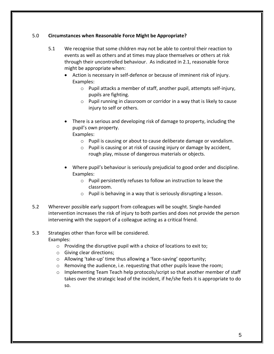#### 5.0 **Circumstances when Reasonable Force Might be Appropriate?**

- 5.1 We recognise that some children may not be able to control their reaction to events as well as others and at times may place themselves or others at risk through their uncontrolled behaviour. As indicated in 2.1, reasonable force might be appropriate when:
	- Action is necessary in self-defence or because of imminent risk of injury. Examples:
		- o Pupil attacks a member of staff, another pupil, attempts self-injury, pupils are fighting.
		- o Pupil running in classroom or corridor in a way that is likely to cause injury to self or others.
	- There is a serious and developing risk of damage to property, including the pupil's own property. Examples:
		- o Pupil is causing or about to cause deliberate damage or vandalism.
		- o Pupil is causing or at risk of causing injury or damage by accident, rough play, misuse of dangerous materials or objects.
	- Where pupil's behaviour is seriously prejudicial to good order and discipline. Examples:
		- o Pupil persistently refuses to follow an instruction to leave the classroom.
		- o Pupil is behaving in a way that is seriously disrupting a lesson.
- 5.2 Wherever possible early support from colleagues will be sought. Single-handed intervention increases the risk of injury to both parties and does not provide the person intervening with the support of a colleague acting as a critical friend.

# 5.3 Strategies other than force will be considered.

Examples:

- $\circ$  Providing the disruptive pupil with a choice of locations to exit to;
- o Giving clear directions;
- o Allowing 'take-up' time thus allowing a 'face-saving' opportunity;
- o Removing the audience, i.e. requesting that other pupils leave the room;
- $\circ$  Implementing Team Teach help protocols/script so that another member of staff takes over the strategic lead of the incident, if he/she feels it is appropriate to do so.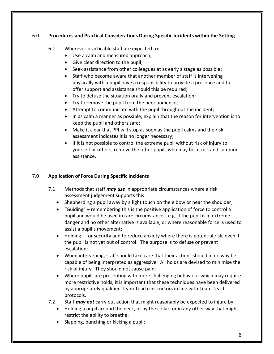#### 6.0 **Procedures and Practical Considerations During Specific Incidents within the Setting**

#### 6.1 Wherever practicable staff are expected to:

- Use a calm and measured approach;
- Give clear direction to the pupil;
- Seek assistance from other colleagues at as early a stage as possible;
- Staff who become aware that another member of staff is intervening physically with a pupil have a responsibility to provide a presence and to offer support and assistance should this be required;
- Try to defuse the situation orally and prevent escalation;
- Try to remove the pupil from the peer audience;
- Attempt to communicate with the pupil throughout the incident;
- In as calm a manner as possible, explain that the reason for intervention is to keep the pupil and others safe;
- Make it clear that PPI will stop as soon as the pupil calms and the risk assessment indicates it is no longer necessary;
- If it is not possible to control the extreme pupil without risk of injury to yourself or others, remove the other pupils who may be at risk and summon assistance.

# 7.0 **Application of Force During Specific Incidents**

- 7.1 Methods that staff *may use* in appropriate circumstances where a risk assessment judgement supports this:
	- Shepherding a pupil away by a light touch on the elbow or near the shoulder;
	- "Guiding" remembering this is the positive application of force to control a pupil and would be used in rare circumstances, e.g. if the pupil is in extreme danger and no other alternative is available, or where reasonable force is used to assist a pupil's movement;
	- Holding for security and to reduce anxiety where there is potential risk, even if the pupil is not yet out of control. The purpose is to defuse or prevent escalation;
	- When intervening, staff should take care that their actions should in no way be capable of being interpreted as aggressive. All holds are devised to minimise the risk of injury. They should not cause pain;
	- Where pupils are presenting with more challenging behaviour which may require more restrictive holds, it is important that these techniques have been delivered by appropriately qualified Team Teach instructors in line with Team Teach protocols.
- 7.2 Staff *may not* carry out action that might reasonably be expected to injure by:
	- Holding a pupil around the neck, or by the collar, or in any other way that might restrict the ability to breathe;
	- Slapping, punching or kicking a pupil;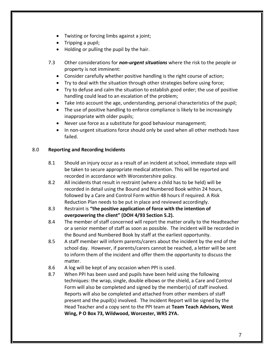- Twisting or forcing limbs against a joint;
- Tripping a pupil;
- Holding or pulling the pupil by the hair.
- 7.3 Other considerations for *non-urgent situations* where the risk to the people or property is not imminent:
	- Consider carefully whether positive handling is the right course of action;
	- Try to deal with the situation through other strategies before using force;
	- Try to defuse and calm the situation to establish good order; the use of positive handling could lead to an escalation of the problem;
	- Take into account the age, understanding, personal characteristics of the pupil;
	- The use of positive handling to enforce compliance is likely to be increasingly inappropriate with older pupils;
	- Never use force as a substitute for good behaviour management;
	- In non-urgent situations force should only be used when all other methods have failed.

#### 8.0 **Reporting and Recording Incidents**

- 8.1 Should an injury occur as a result of an incident at school, immediate steps will be taken to secure appropriate medical attention. This will be reported and recorded in accordance with Worcestershire policy.
- 8.2 All incidents that result in restraint (where a child has to be held) will be recorded in detail using the Bound and Numbered Book within 24 hours, followed by a Care and Control Form within 48 hours if required. A Risk Reduction Plan needs to be put in place and reviewed accordingly.
- 8.3 Restraint is **"the positive application of force with the intention of overpowering the client" (DOH 4/93 Section 5.2).**
- 8.4 The member of staff concerned will report the matter orally to the Headteacher or a senior member of staff as soon as possible. The incident will be recorded in the Bound and Numbered Book by staff at the earliest opportunity.
- 8.5 A staff member will inform parents/carers about the incident by the end of the school day. However, if parents/carers cannot be reached, a letter will be sent to inform them of the incident and offer them the opportunity to discuss the matter.
- 8.6 A log will be kept of any occasion when PPI is used.
- 8.7 When PPI has been used and pupils have been held using the following techniques: the wrap, single, double elbows or the shield, a Care and Control Form will also be completed and signed by the member(s) of staff involved. Reports will also be completed and attached from other members of staff present and the pupil(s) involved. The Incident Report will be signed by the Head Teacher and a copy sent to the PPI team at **Team Teach Advisors, West Wing, P O Box 73, Wildwood, Worcester, WR5 2YA.**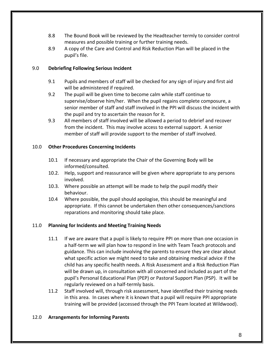- 8.8 The Bound Book will be reviewed by the Headteacher termly to consider control measures and possible training or further training needs.
- 8.9 A copy of the Care and Control and Risk Reduction Plan will be placed in the pupil's file.

#### 9.0 **Debriefing Following Serious Incident**

- 9.1 Pupils and members of staff will be checked for any sign of injury and first aid will be administered if required.
- 9.2 The pupil will be given time to become calm while staff continue to supervise/observe him/her. When the pupil regains complete composure, a senior member of staff and staff involved in the PPI will discuss the incident with the pupil and try to ascertain the reason for it.
- 9.3 All members of staff involved will be allowed a period to debrief and recover from the incident. This may involve access to external support. A senior member of staff will provide support to the member of staff involved.

#### 10.0 **Other Procedures Concerning Incidents**

- 10.1 If necessary and appropriate the Chair of the Governing Body will be informed/consulted.
- 10.2. Help, support and reassurance will be given where appropriate to any persons involved.
- 10.3. Where possible an attempt will be made to help the pupil modify their behaviour.
- 10.4 Where possible, the pupil should apologise, this should be meaningful and appropriate. If this cannot be undertaken then other consequences/sanctions reparations and monitoring should take place.

#### 11.0 **Planning for Incidents and Meeting Training Needs**

- 11.1 If we are aware that a pupil is likely to require PPI on more than one occasion in a half-term we will plan how to respond in line with Team Teach protocols and guidance. This can include involving the parents to ensure they are clear about what specific action we might need to take and obtaining medical advice if the child has any specific health needs. A Risk Assessment and a Risk Reduction Plan will be drawn up, in consultation with all concerned and included as part of the pupil's Personal Educational Plan (PEP) or Pastoral Support Plan (PSP). It will be regularly reviewed on a half-termly basis.
- 11.2 Staff involved will, through risk assessment, have identified their training needs in this area. In cases where it is known that a pupil will require PPI appropriate training will be provided (accessed through the PPI Team located at Wildwood).

#### 12.0 **Arrangements for Informing Parents**